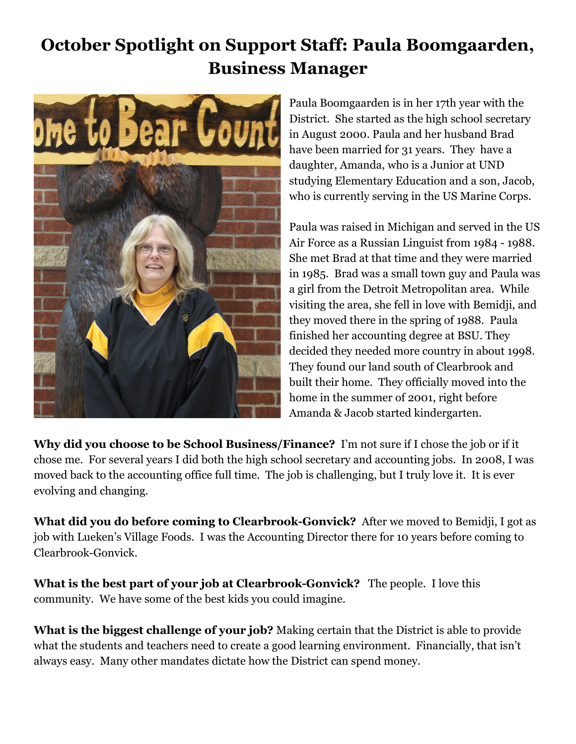## **October Spotlight on Support Staff: Paula Boomgaarden, Business Manager**



Paula Boomgaarden is in her 17th year with the District. She started as the high school secretary in August 2000. Paula and her husband Brad have been married for 31 years. They have a daughter, Amanda, who is a Junior at UND studying Elementary Education and a son, Jacob, who is currently serving in the US Marine Corps.

Paula was raised in Michigan and served in the US Air Force as a Russian Linguist from 1984 - 1988. She met Brad at that time and they were married in 1985. Brad was a small town guy and Paula was a girl from the Detroit Metropolitan area. While visiting the area, she fell in love with Bemidji, and they moved there in the spring of 1988. Paula finished her accounting degree at BSU. They decided they needed more country in about 1998. They found our land south of Clearbrook and built their home. They officially moved into the home in the summer of 2001, right before Amanda & Jacob started kindergarten.

**Why did you choose to be School Business/Finance?**  I'm not sure if I chose the job or if it chose me. For several years I did both the high school secretary and accounting jobs. In 2008, I was moved back to the accounting office full time. The job is challenging, but I truly love it. It is ever evolving and changing.

**What did you do before coming to Clearbrook-Gonvick?**  After we moved to Bemidji, I got as job with Lueken's Village Foods. I was the Accounting Director there for 10 years before coming to Clearbrook-Gonvick.

**What is the best part of your job at Clearbrook-Gonvick?** The people. I love this community. We have some of the best kids you could imagine.

**What is the biggest challenge of your job?** Making certain that the District is able to provide what the students and teachers need to create a good learning environment. Financially, that isn't always easy. Many other mandates dictate how the District can spend money.